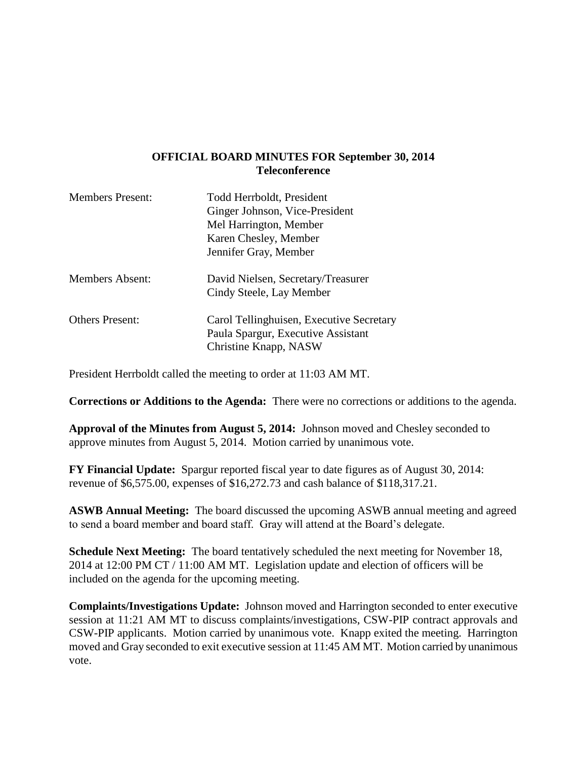## **OFFICIAL BOARD MINUTES FOR September 30, 2014 Teleconference**

| <b>Members Present:</b> | Todd Herrboldt, President<br>Ginger Johnson, Vice-President<br>Mel Harrington, Member<br>Karen Chesley, Member<br>Jennifer Gray, Member |
|-------------------------|-----------------------------------------------------------------------------------------------------------------------------------------|
| <b>Members Absent:</b>  | David Nielsen, Secretary/Treasurer<br>Cindy Steele, Lay Member                                                                          |
| <b>Others Present:</b>  | Carol Tellinghuisen, Executive Secretary<br>Paula Spargur, Executive Assistant<br>Christine Knapp, NASW                                 |

President Herrboldt called the meeting to order at 11:03 AM MT.

**Corrections or Additions to the Agenda:** There were no corrections or additions to the agenda.

**Approval of the Minutes from August 5, 2014:** Johnson moved and Chesley seconded to approve minutes from August 5, 2014. Motion carried by unanimous vote.

**FY Financial Update:** Spargur reported fiscal year to date figures as of August 30, 2014: revenue of \$6,575.00, expenses of \$16,272.73 and cash balance of \$118,317.21.

**ASWB Annual Meeting:** The board discussed the upcoming ASWB annual meeting and agreed to send a board member and board staff. Gray will attend at the Board's delegate.

**Schedule Next Meeting:** The board tentatively scheduled the next meeting for November 18, 2014 at 12:00 PM CT / 11:00 AM MT. Legislation update and election of officers will be included on the agenda for the upcoming meeting.

**Complaints/Investigations Update:** Johnson moved and Harrington seconded to enter executive session at 11:21 AM MT to discuss complaints/investigations, CSW-PIP contract approvals and CSW-PIP applicants. Motion carried by unanimous vote. Knapp exited the meeting. Harrington moved and Gray seconded to exit executive session at 11:45 AM MT. Motion carried by unanimous vote.